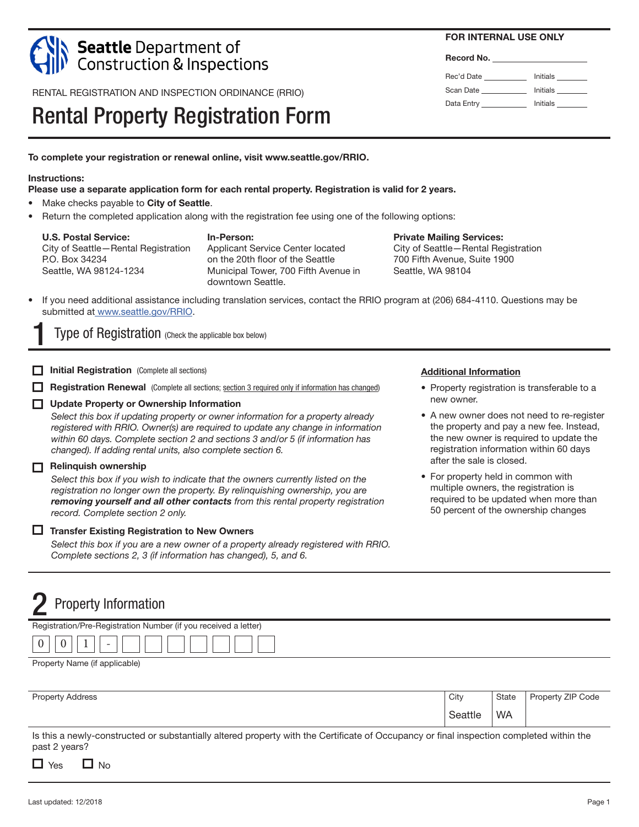# **Seattle** Department of<br>Construction & Inspections

RENTAL REGISTRATION AND INSPECTION ORDINANCE (RRIO)

## Rental Property Registration Form

**To complete your registration or renewal online, visit www.seattle.gov/RRIO.**

### **Instructions:**

**Please use a separate application form for each rental property. Registration is valid for 2 years.**

- Make checks payable to **City of Seattle**.
- Return the completed application along with the registration fee using one of the following options:

**U.S. Postal Service:** City of Seattle—Rental Registration P.O. Box 34234 Seattle, WA 98124-1234

**In-Person:** Applicant Service Center located on the 20th floor of the Seattle Municipal Tower, 700 Fifth Avenue in downtown Seattle.

 **Private Mailing Services:** City of Seattle—Rental Registration

 700 Fifth Avenue, Suite 1900 Seattle, WA 98104

• If you need additional assistance including translation services, contact the RRIO program at (206) 684-4110. Questions may be submitted a[t www.seattle.gov/RRIO](http:// www.seattle.gov/RRIO).

Type of Registration (Check the applicable box below)

- **Initial Registration** (Complete all sections)
- **Registration Renewal** (Complete all sections; section 3 required only if information has changed)
- **Update Property or Ownership Information**

*Select this box if updating property or owner information for a property already registered with RRIO. Owner(s) are required to update any change in information within 60 days. Complete section 2 and sections 3 and/or 5 (if information has changed). If adding rental units, also complete section 6.* 

### **Relinquish ownership**

*Select this box if your* registration no lone *removing yoursel*  $record.$  Complete

### **Transfer Existing**

*Select this box if y Complete sections 2, 3 (if information has changed), 5, and 6.*

### **Additional Information**

- Property registration is transferable to a new owner.
- A new owner does not need to re-register the property and pay a new fee. Instead, the new owner is required to update the registration information within 60 days after the sale is closed.
- For property held in common with multiple owners, the registration is

| Rec'd Date | Initials |
|------------|----------|
|            |          |

Scan Date \_\_\_\_\_\_\_\_\_\_\_\_\_ Initials \_\_\_ Data Entry \_\_\_\_\_\_\_\_\_\_\_\_\_\_ Initials \_\_\_\_\_

| ou wish to indicate that the owners currently listed on the<br>ger own the property. By relinquishing ownership, you are<br>If and all other contacts from this rental property registration<br>section 2 only. | • For property held in common with<br>multiple owners, the registration is<br>required to be updated when more than<br>50 percent of the ownership changes |
|-----------------------------------------------------------------------------------------------------------------------------------------------------------------------------------------------------------------|------------------------------------------------------------------------------------------------------------------------------------------------------------|
| <b>Registration to New Owners</b>                                                                                                                                                                               |                                                                                                                                                            |
| ou are a new owner of a property already registered with RRIO.<br>$\sim$ 0.0 ft information has showned $\Gamma$ and 0.                                                                                         |                                                                                                                                                            |

### Property Information

Registration/Pre-Registration Number (if you received a letter)

Property Name (if applicable)

0 0 1 -

| <b>Property Address</b>                                                                                                                  | City    | State     | Property ZIP Code |
|------------------------------------------------------------------------------------------------------------------------------------------|---------|-----------|-------------------|
|                                                                                                                                          | Seattle | <b>WA</b> |                   |
| Is this a newly-constructed or substantially altered property with the Certificate of Occupancy or final inspection completed within the |         |           |                   |

past 2 years?

 $\Box$  Yes  $\Box$  No

### **FOR INTERNAL USE ONLY**

**Record No.**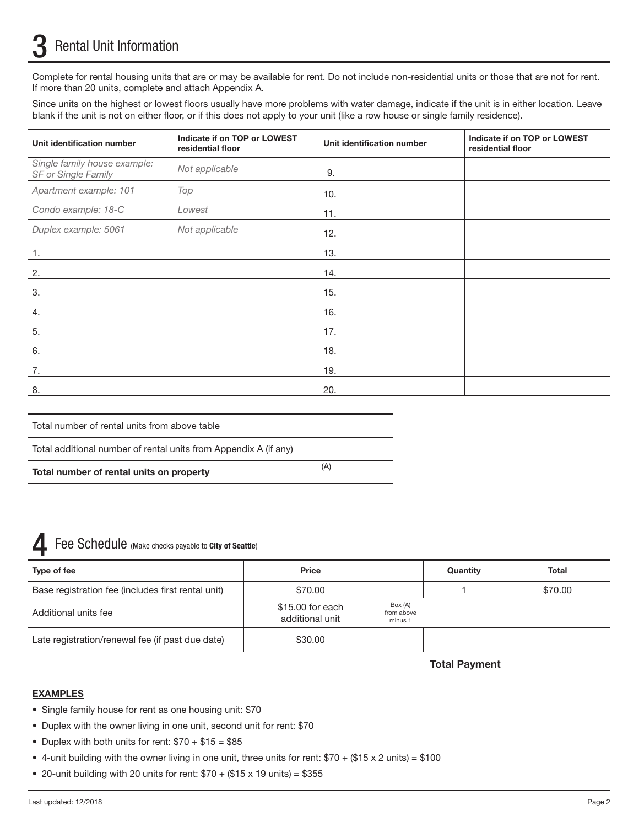Complete for rental housing units that are or may be available for rent. Do not include non-residential units or those that are not for rent. If more than 20 units, complete and attach Appendix A.

Since units on the highest or lowest floors usually have more problems with water damage, indicate if the unit is in either location. Leave blank if the unit is not on either floor, or if this does not apply to your unit (like a row house or single family residence).

| Unit identification number                          | Indicate if on TOP or LOWEST<br>residential floor | Unit identification number | Indicate if on TOP or LOWEST<br>residential floor |
|-----------------------------------------------------|---------------------------------------------------|----------------------------|---------------------------------------------------|
| Single family house example:<br>SF or Single Family | Not applicable                                    | 9.                         |                                                   |
| Apartment example: 101                              | Top                                               | 10.                        |                                                   |
| Condo example: 18-C                                 | Lowest                                            | 11.                        |                                                   |
| Duplex example: 5061                                | Not applicable                                    | 12.                        |                                                   |
| 1.                                                  |                                                   | 13.                        |                                                   |
| 2.                                                  |                                                   | 14.                        |                                                   |
| 3.                                                  |                                                   | 15.                        |                                                   |
| 4.                                                  |                                                   | 16.                        |                                                   |
| 5.                                                  |                                                   | 17.                        |                                                   |
| 6.                                                  |                                                   | 18.                        |                                                   |
| 7.                                                  |                                                   | 19.                        |                                                   |
| 8.                                                  |                                                   | 20.                        |                                                   |

| Total number of rental units from above table                    |     |
|------------------------------------------------------------------|-----|
| Total additional number of rental units from Appendix A (if any) |     |
| Total number of rental units on property                         | (A) |

### 4 Fee Schedule (Make checks payable to **City of Seattle**)

| Type of fee                                        | Price                               |                                  | Quantity | <b>Total</b> |
|----------------------------------------------------|-------------------------------------|----------------------------------|----------|--------------|
| Base registration fee (includes first rental unit) | \$70.00                             |                                  |          | \$70.00      |
| Additional units fee                               | \$15.00 for each<br>additional unit | Box (A)<br>from above<br>minus 1 |          |              |
| Late registration/renewal fee (if past due date)   | \$30.00                             |                                  |          |              |
|                                                    |                                     |                                  |          |              |

**Total Payment**

### **EXAMPLES**

- Single family house for rent as one housing unit: \$70
- Duplex with the owner living in one unit, second unit for rent: \$70
- Duplex with both units for rent:  $$70 + $15 = $85$
- 4-unit building with the owner living in one unit, three units for rent:  $$70 + ($15 \times 2$ units) = $100$
- 20-unit building with 20 units for rent:  $$70 + ($15 \times 19 \text{ units}) = $355$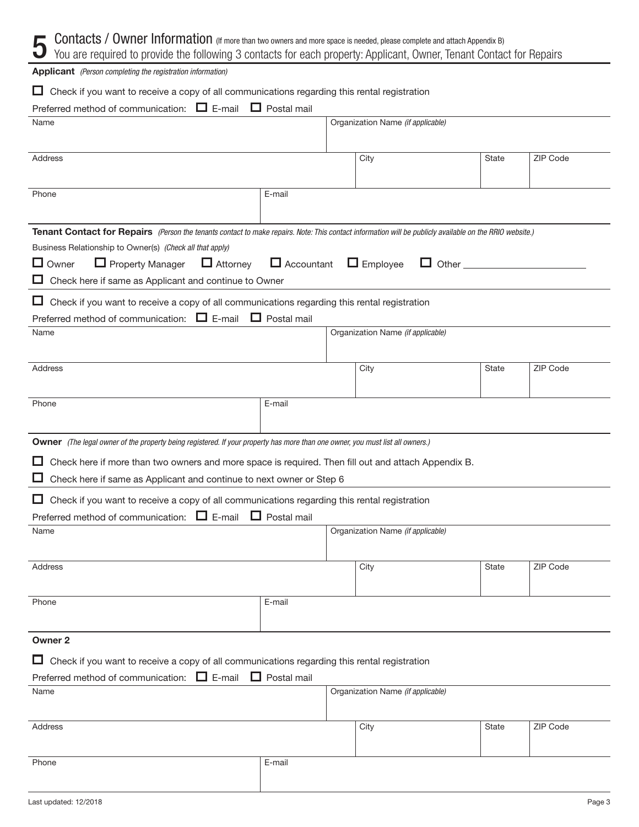| Contacts / Owner Information (If more than two owners and more space is needed, please complete and attach Appendix B)<br>You are required to provide the following 3 contacts for each property: Applicant, Owner, Tenant Contact for Repairs |                   |                                   |       |                 |
|------------------------------------------------------------------------------------------------------------------------------------------------------------------------------------------------------------------------------------------------|-------------------|-----------------------------------|-------|-----------------|
| Applicant (Person completing the registration information)                                                                                                                                                                                     |                   |                                   |       |                 |
| Check if you want to receive a copy of all communications regarding this rental registration                                                                                                                                                   |                   |                                   |       |                 |
| Preferred method of communication: $\Box$ E-mail $\Box$ Postal mail                                                                                                                                                                            |                   |                                   |       |                 |
| Name                                                                                                                                                                                                                                           |                   | Organization Name (if applicable) |       |                 |
|                                                                                                                                                                                                                                                |                   |                                   |       |                 |
| Address                                                                                                                                                                                                                                        |                   | City                              | State | <b>ZIP Code</b> |
| Phone                                                                                                                                                                                                                                          | E-mail            |                                   |       |                 |
| Tenant Contact for Repairs (Person the tenants contact to make repairs. Note: This contact information will be publicly available on the RRIO website.)                                                                                        |                   |                                   |       |                 |
| Business Relationship to Owner(s) (Check all that apply)                                                                                                                                                                                       |                   |                                   |       |                 |
| $\Box$ Property Manager<br>$\Box$ Attorney<br>$\Box$ Owner                                                                                                                                                                                     | $\Box$ Accountant | $\Box$ Employee<br>$\Box$ Other   |       |                 |
| Check here if same as Applicant and continue to Owner                                                                                                                                                                                          |                   |                                   |       |                 |
| Check if you want to receive a copy of all communications regarding this rental registration                                                                                                                                                   |                   |                                   |       |                 |
| Preferred method of communication: $\Box$ E-mail $\Box$ Postal mail                                                                                                                                                                            |                   |                                   |       |                 |
| Name                                                                                                                                                                                                                                           |                   | Organization Name (if applicable) |       |                 |
|                                                                                                                                                                                                                                                |                   |                                   |       |                 |
| Address                                                                                                                                                                                                                                        |                   | City                              | State | <b>ZIP Code</b> |
|                                                                                                                                                                                                                                                |                   |                                   |       |                 |
| Phone                                                                                                                                                                                                                                          | E-mail            |                                   |       |                 |
|                                                                                                                                                                                                                                                |                   |                                   |       |                 |
| Owner (The legal owner of the property being registered. If your property has more than one owner, you must list all owners.)                                                                                                                  |                   |                                   |       |                 |
| Check here if more than two owners and more space is required. Then fill out and attach Appendix B.                                                                                                                                            |                   |                                   |       |                 |
| Check here if same as Applicant and continue to next owner or Step 6                                                                                                                                                                           |                   |                                   |       |                 |
| Check if you want to receive a copy of all communications regarding this rental registration                                                                                                                                                   |                   |                                   |       |                 |
| Preferred method of communication: $\Box$ E-mail $\Box$ Postal mail                                                                                                                                                                            |                   |                                   |       |                 |
| Name                                                                                                                                                                                                                                           |                   | Organization Name (if applicable) |       |                 |
|                                                                                                                                                                                                                                                |                   |                                   |       |                 |
| Address                                                                                                                                                                                                                                        |                   | City                              | State | <b>ZIP Code</b> |
|                                                                                                                                                                                                                                                |                   |                                   |       |                 |
| Phone                                                                                                                                                                                                                                          | E-mail            |                                   |       |                 |
|                                                                                                                                                                                                                                                |                   |                                   |       |                 |
| Owner 2                                                                                                                                                                                                                                        |                   |                                   |       |                 |
| Check if you want to receive a copy of all communications regarding this rental registration                                                                                                                                                   |                   |                                   |       |                 |
| Preferred method of communication: $\Box$ E-mail $\Box$ Postal mail                                                                                                                                                                            |                   |                                   |       |                 |
| Name                                                                                                                                                                                                                                           |                   | Organization Name (if applicable) |       |                 |
|                                                                                                                                                                                                                                                |                   |                                   |       |                 |
| Address                                                                                                                                                                                                                                        |                   | City                              | State | ZIP Code        |
|                                                                                                                                                                                                                                                |                   |                                   |       |                 |
| Phone                                                                                                                                                                                                                                          | E-mail            |                                   |       |                 |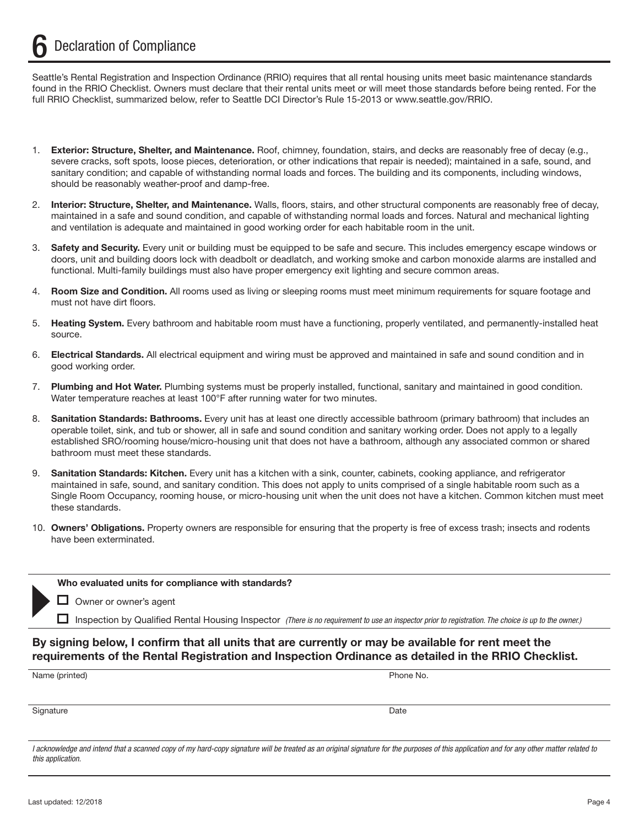Seattle's Rental Registration and Inspection Ordinance (RRIO) requires that all rental housing units meet basic maintenance standards found in the RRIO Checklist. Owners must declare that their rental units meet or will meet those standards before being rented. For the full RRIO Checklist, summarized below, refer to Seattle DCI Director's Rule 15-2013 or www.seattle.gov/RRIO.

- 1. **Exterior: Structure, Shelter, and Maintenance.** Roof, chimney, foundation, stairs, and decks are reasonably free of decay (e.g., severe cracks, soft spots, loose pieces, deterioration, or other indications that repair is needed); maintained in a safe, sound, and sanitary condition; and capable of withstanding normal loads and forces. The building and its components, including windows, should be reasonably weather-proof and damp-free.
- 2. **Interior: Structure, Shelter, and Maintenance.** Walls, floors, stairs, and other structural components are reasonably free of decay, maintained in a safe and sound condition, and capable of withstanding normal loads and forces. Natural and mechanical lighting and ventilation is adequate and maintained in good working order for each habitable room in the unit.
- 3. **Safety and Security.** Every unit or building must be equipped to be safe and secure. This includes emergency escape windows or doors, unit and building doors lock with deadbolt or deadlatch, and working smoke and carbon monoxide alarms are installed and functional. Multi-family buildings must also have proper emergency exit lighting and secure common areas.
- 4. **Room Size and Condition.** All rooms used as living or sleeping rooms must meet minimum requirements for square footage and must not have dirt floors.
- 5. **Heating System.** Every bathroom and habitable room must have a functioning, properly ventilated, and permanently-installed heat source.
- 6. **Electrical Standards.** All electrical equipment and wiring must be approved and maintained in safe and sound condition and in good working order.
- 7. **Plumbing and Hot Water.** Plumbing systems must be properly installed, functional, sanitary and maintained in good condition. Water temperature reaches at least 100°F after running water for two minutes.
- 8. **Sanitation Standards: Bathrooms.** Every unit has at least one directly accessible bathroom (primary bathroom) that includes an operable toilet, sink, and tub or shower, all in safe and sound condition and sanitary working order. Does not apply to a legally established SRO/rooming house/micro-housing unit that does not have a bathroom, although any associated common or shared bathroom must meet these standards.
- 9. **Sanitation Standards: Kitchen.** Every unit has a kitchen with a sink, counter, cabinets, cooking appliance, and refrigerator maintained in safe, sound, and sanitary condition. This does not apply to units comprised of a single habitable room such as a Single Room Occupancy, rooming house, or micro-housing unit when the unit does not have a kitchen. Common kitchen must meet these standards.
- 10. **Owners' Obligations.** Property owners are responsible for ensuring that the property is free of excess trash; insects and rodents have been exterminated.

**Who evaluated units for compliance with standards?**

Owner or owner's agent

Inspection by Qualified Rental Housing Inspector *(There is no requirement to use an inspector prior to registration. The choice is up to the owner.)*

### **By signing below, I confirm that all units that are currently or may be available for rent meet the requirements of the Rental Registration and Inspection Ordinance as detailed in the RRIO Checklist.**

Name (printed) **Phone No.** Phone No. **Phone No.** Phone No. **Phone No.** Phone No.

Signature Date Date of the Signature Date of the Signature Date of the Date of the Date of the Date of the Date of the Date of the Date of the Date of the Date of the Date of the Date of the Date of the Date of the Date of

*I acknowledge and intend that a scanned copy of my hard-copy signature will be treated as an original signature for the purposes of this application and for any other matter related to this application.*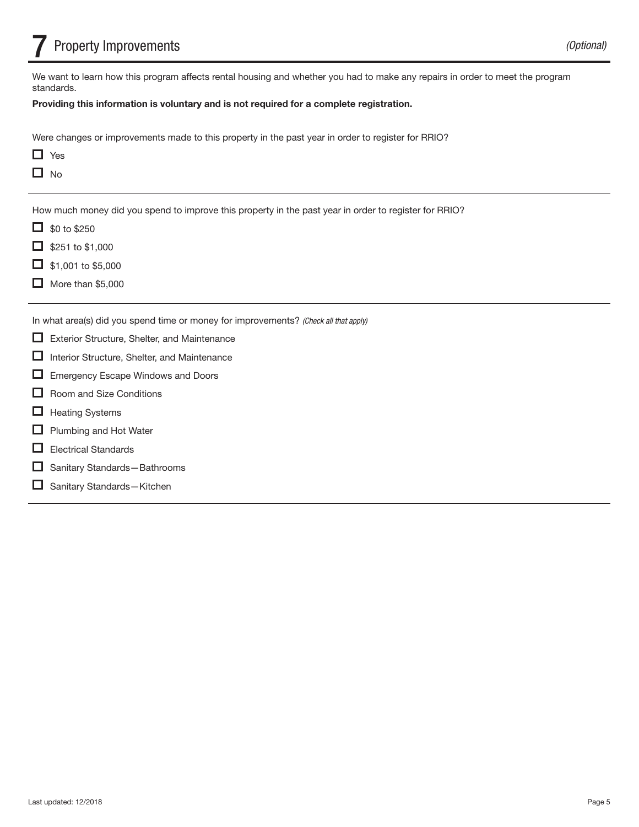## 7 Property Improvements *(Optional)*

We want to learn how this program affects rental housing and whether you had to make any repairs in order to meet the program standards.

### **Providing this information is voluntary and is not required for a complete registration.**

Were changes or improvements made to this property in the past year in order to register for RRIO?

- □ Yes
- $\Box$  No

How much money did you spend to improve this property in the past year in order to register for RRIO?

- $\Box$  \$0 to \$250
- $\Box$  \$251 to \$1,000
- $\Box$  \$1,001 to \$5,000
- $\Box$  More than \$5,000

In what area(s) did you spend time or money for improvements? *(Check all that apply)*

- Exterior Structure, Shelter, and Maintenance
- Interior Structure, Shelter, and Maintenance
- **Emergency Escape Windows and Doors**
- $\Box$  Room and Size Conditions
- $\Box$  Heating Systems
- **D** Plumbing and Hot Water
- Electrical Standards
- Sanitary Standards-Bathrooms
- Sanitary Standards-Kitchen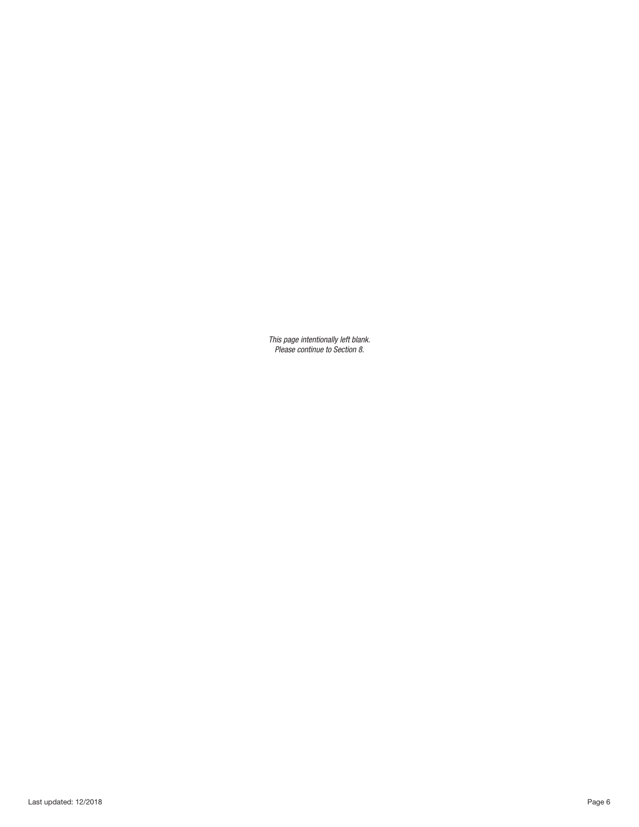*This page intentionally left blank. Please continue to Section 8.*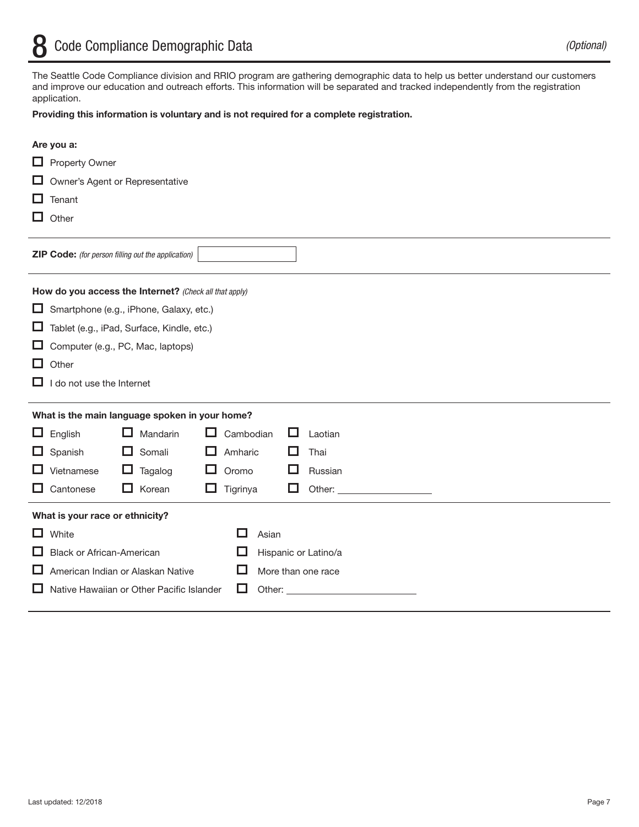The Seattle Code Compliance division and RRIO program are gathering demographic data to help us better understand our customers and improve our education and outreach efforts. This information will be separated and tracked independently from the registration application.

### **Providing this information is voluntary and is not required for a complete registration.**

|        | Are you a:                                             |   |          |        |           |       |        |                      |
|--------|--------------------------------------------------------|---|----------|--------|-----------|-------|--------|----------------------|
| $\Box$ | Property Owner                                         |   |          |        |           |       |        |                      |
|        | Owner's Agent or Representative                        |   |          |        |           |       |        |                      |
|        | Tenant                                                 |   |          |        |           |       |        |                      |
|        | Other                                                  |   |          |        |           |       |        |                      |
|        |                                                        |   |          |        |           |       |        |                      |
|        | ZIP Code: (for person filling out the application)     |   |          |        |           |       |        |                      |
|        | How do you access the Internet? (Check all that apply) |   |          |        |           |       |        |                      |
| ш      | Smartphone (e.g., iPhone, Galaxy, etc.)                |   |          |        |           |       |        |                      |
| ப      | Tablet (e.g., iPad, Surface, Kindle, etc.)             |   |          |        |           |       |        |                      |
|        | Computer (e.g., PC, Mac, laptops)                      |   |          |        |           |       |        |                      |
| П      | Other                                                  |   |          |        |           |       |        |                      |
|        | I do not use the Internet                              |   |          |        |           |       |        |                      |
|        | What is the main language spoken in your home?         |   |          |        |           |       |        |                      |
| $\Box$ | English                                                |   | Mandarin | □      | Cambodian |       |        | Laotian              |
|        | Spanish                                                |   | Somali   | □      | Amharic   |       |        | Thai                 |
|        | Vietnamese                                             |   | Tagalog  | ш      | Oromo     |       |        | Russian              |
|        | Cantonese                                              | ш | Korean   | $\Box$ | Tigrinya  |       | $\Box$ | Other:               |
|        | What is your race or ethnicity?                        |   |          |        |           |       |        |                      |
| l I    | White                                                  |   |          |        | П         | Asian |        |                      |
| . I    | <b>Black or African-American</b>                       |   |          |        | ப         |       |        | Hispanic or Latino/a |
|        | American Indian or Alaskan Native                      |   |          |        | ш         |       |        | More than one race   |
|        | Native Hawaiian or Other Pacific Islander              |   |          |        | ப         |       |        |                      |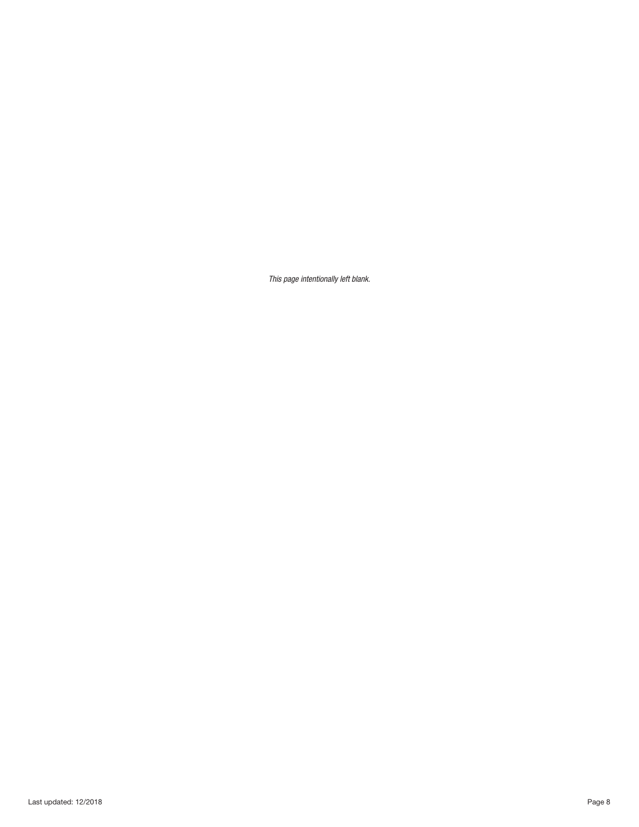*This page intentionally left blank.*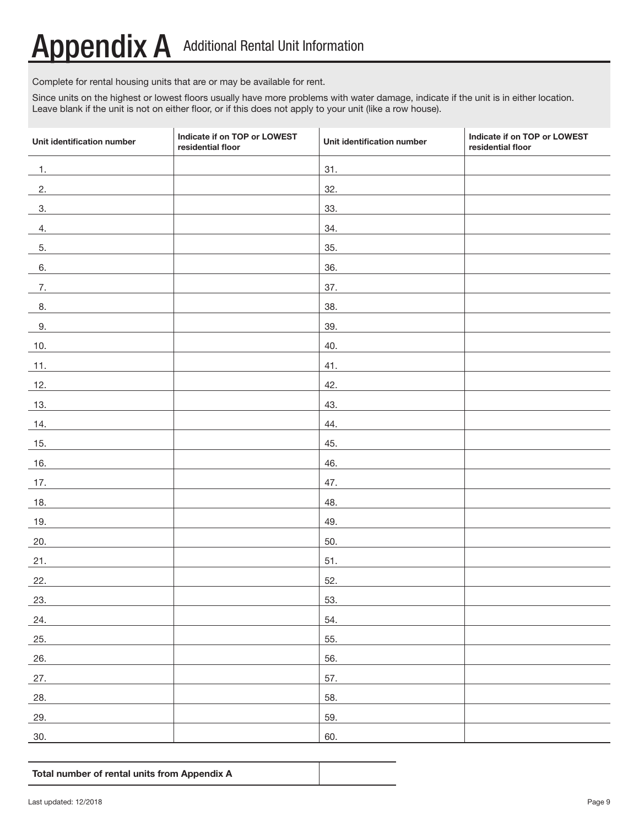# Appendix A Additional Rental Unit Information

Complete for rental housing units that are or may be available for rent.

Since units on the highest or lowest floors usually have more problems with water damage, indicate if the unit is in either location. Leave blank if the unit is not on either floor, or if this does not apply to your unit (like a row house).

| Unit identification number | Indicate if on TOP or LOWEST<br>residential floor | Unit identification number | Indicate if on TOP or LOWEST<br>residential floor |
|----------------------------|---------------------------------------------------|----------------------------|---------------------------------------------------|
| 1.                         |                                                   | 31.                        |                                                   |
| 2.                         |                                                   | 32.                        |                                                   |
| 3.                         |                                                   | 33.                        |                                                   |
| 4.                         |                                                   | 34.                        |                                                   |
| 5.                         |                                                   | 35.                        |                                                   |
| 6.                         |                                                   | 36.                        |                                                   |
| 7.                         |                                                   | 37.                        |                                                   |
| 8.                         |                                                   | 38.                        |                                                   |
| 9.                         |                                                   | 39.                        |                                                   |
| 10.                        |                                                   | 40.                        |                                                   |
| 11.                        |                                                   | 41.                        |                                                   |
| 12.                        |                                                   | 42.                        |                                                   |
| 13.                        |                                                   | 43.                        |                                                   |
| 14.                        |                                                   | 44.                        |                                                   |
| 15.                        |                                                   | 45.                        |                                                   |
| 16.                        |                                                   | 46.                        |                                                   |
| 17.                        |                                                   | 47.                        |                                                   |
| 18.                        |                                                   | 48.                        |                                                   |
| 19.                        |                                                   | 49.                        |                                                   |
| 20.                        |                                                   | 50.                        |                                                   |
| 21.                        |                                                   | 51.                        |                                                   |
| 22.                        |                                                   | 52.                        |                                                   |
| 23.                        |                                                   | 53.                        |                                                   |
| 24.                        |                                                   | 54.                        |                                                   |
| 25.                        |                                                   | 55.                        |                                                   |
| 26.                        |                                                   | 56.                        |                                                   |
| 27.                        |                                                   | 57.                        |                                                   |
| 28.                        |                                                   | 58.                        |                                                   |
| 29.                        |                                                   | 59.                        |                                                   |
| 30.                        |                                                   | 60.                        |                                                   |

| Total number of rental units from Appendix A |  |
|----------------------------------------------|--|